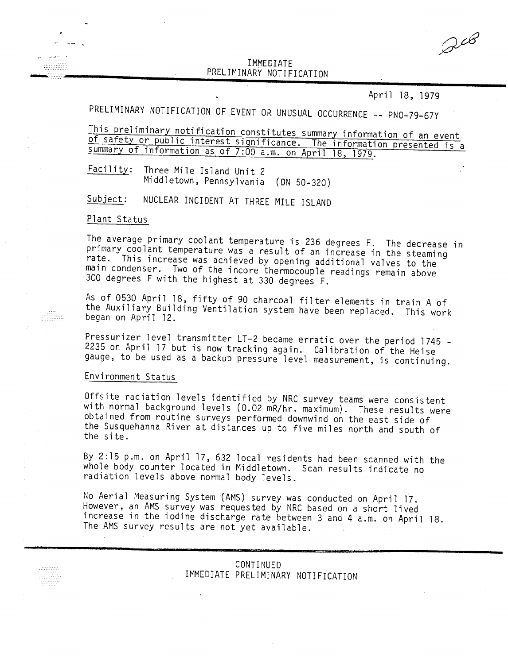## IMMEDIATE PRELIMINARY NOTIFICATI

April 18, 1979

PRELIMINARY NOTIFICATION OF EVENT OR UNUSUAL OCCURRENCE -- PNO-79-67Y

This preliminary notification constitutes summary information of an event of safety or public interest significance. The information presented is a summary of information as of 7:00 a.m. on April 18, 1979.

Eaching: Three Mile Island Unit 2 Middletown, Pennsylvania (ON 50-320)

Subject: NUCLEAR INCIDENT AT THREE MILE ISLAND

## Plant Status

The average primary coolant temperature is 236 degrees F. The decrease i primary coolant temperature was a result of an increase in the steami rate. This increase was achieved by opening additional valves to the main condenser. Two of the incore thermocouple readings remain above 300 degrees F with the highest at 330 degrees F.

As of 0530 April 18, fifty of 90 charcoal filter elements in train A of the Auxiliary Building Ventilation system have been replaced. This work began on April 12.

Pressurizer level transmitter LT-2 became erratic over the period 1745 - 2235 on April 17 but is now tracking again. Calibration of the Heise gauge, to be used as a backup pressure level measurement, is continuing.

## Environment Status

Offsite radiation levels identified by NRC survey teams were consistent with normal background levels (0.02 mR/hr. maximum). These results were obtained from routine surveys performed downwind on the east side of the Susquehanna River at distances up to five miles north and south of the site.

By 2:15 p.m. on April 17, 632 local residents had been scanned with the whole body counter located in Middletown. Scan results indicate no radiation levels above normal body levels.

No Aerial Measuring System (AMS) survey was conducted on April 17. However, an AMS survey was requested by NRC based on a short lived increase in the iodine discharge rate between 3 and 4 a.m. on April 18. The AMS survey results are not yet available.

| CONTINUED |                                    |
|-----------|------------------------------------|
|           | IMMEDIATE PRELIMINARY NOTIFICATION |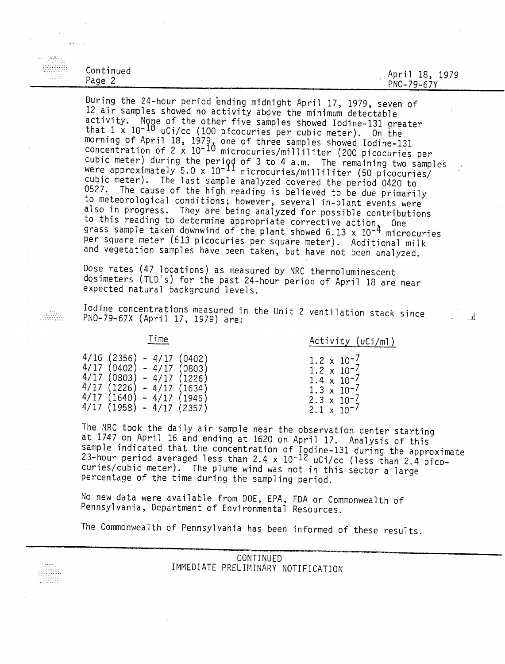| . <i>.</i><br>.<br>. <b>.</b> |           |      |                                                     |                |
|-------------------------------|-----------|------|-----------------------------------------------------|----------------|
| .<br>.<br>. . <b>.</b>        | Continued |      | Я<br>Apri                                           | <b>979</b>     |
| .                             | 'age      |      | ∸◡                                                  | . <i>. .</i> . |
|                               | -         |      | $79 - 6$<br>$c \rightarrow v$<br>- PNO-,<br>v.<br>۔ |                |
|                               |           | ____ |                                                     |                |

During the 24-hour period ending midnight April 17, 1979, seven of 12 air samples showed no activity above the minimum detectable activity. None of the other five samples showed Iodine-131 greater that 1 x 10<sup>-10</sup> uCi/cc (100 picocuries per cubic meter). On the morning of April 18, 1979, one of three samples showed Iodine-13<br>Consentintion of 2 w 10=10 concentration of 2 x 10<sup>-10</sup> microcuries/milliliter (200 picocuries pe cubic meter) during the period of 3 to 4 a.m. The remaining two samples were approximately 5.0 x 10<sup>-11</sup> microcuries/milliliter (50 picocuries/ cubic meter). The last sample analyzed covered the period 0420 to 0527. The cause of the high reading is believed to be due primarily to meteorological conditions; however, several in-plant events were also in progress. They are being analyzed for possible contributions <sup>to this reading to determine appropriate corrective action, One</sup> grass sample taken downwind of the plant showed  $6.13 \times 10^{-4}$  microcuries per square meter (613 picocuries per square meter). Additional milk and vegetation samples have been taken, but have not been analyzed.

Dose rates (47 locations) as measured by NRC thermoluminescent dosimeters (TLD's) for the past 24-hour period of April 18 are near expected natural background levels.

Iodine concentrations measured in the Unit 2 ventilation stack since  $PNO-79-67X$  (April 17 1979) are: PNO-79-67X (April 17, 1979) are:

Time Activity (uCi/ml)

 $1.2 \times 10^{-7}$  $1.\overline{2} \times 10^{-7}$  $1.4 \times 10^{-7}$  $1.3 \times 10^{-7}$ 2.3  $\times$  10<sup>-7</sup>  $2.1 \times 10^{-7}$ 

|      | 4/16 (2356) |         | - 4/17 (0402) |
|------|-------------|---------|---------------|
|      | 4/17(0402)  | - 4/17  | (0803)        |
|      | 4/17 (0803) | $-4/17$ | (1226)        |
|      | 4/17 (1226) | $-4/17$ | (1634)        |
| 4/17 | (1640)      | - 4/17  | (1946)        |
|      | 4/17 (1958) |         | - 4/17 (2357) |

المنتقلين.<br>منتقلة الله

The NRC took the daily air sample near the observation center starting at 1747 on April 16 and ending at 1620 on April 17. Analysis of this sample indicated that the concentration of Iodine-131 during the approximate 23-hour period averaged less than 2.4 x 10<sup>-12</sup> uCi/cc (less than 2.4 picocuries/cubic meter). The plume wind was not in this sector a large percentage of the time during the sampling period.

No new data were available from DOE, EPA, FDA or Commonwealth of Pennsylvania, Department of Environmental Resources.

The Commonwealth of Pennsylvania has been informed of these results.

CONTINUED IMMEDIATE PRELIMINARY NOTIFICATION